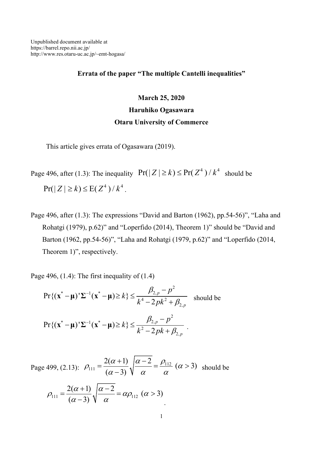## Errata of the paper "The multiple Cantelli inequalities"

## March 25, 2020 Haruhiko Ogasawara

## Otaru University of Commerce

This article gives errata of Ogasawara (2019).

Page 496, after (1.3): The inequality  $Pr(|Z| \ge k) \le Pr(Z^4)/k^4$  should be  $Pr(|Z| \ge k) \le E(Z^4)/k^4$ .

Page 496, after (1.3): The expressions "David and Barton (1962), pp.54-56)", "Laha and Rohatgi (1979), p.62)" and "Loperfido (2014), Theorem 1)" should be "David and Barton (1962, pp.54-56)", "Laha and Rohatgi (1979, p.62)" and "Loperfido (2014, Theorem 1)", respectively.

Page 496,  $(1.4)$ : The first inequality of  $(1.4)$ 

$$
\Pr\{(\mathbf{x}^* - \mathbf{\mu})' \Sigma^{-1}(\mathbf{x}^* - \mathbf{\mu}) \ge k\} \le \frac{\beta_{2,p} - p^2}{k^4 - 2pk^2 + \beta_{2,p}} \quad \text{should be}
$$
\n
$$
\Pr\{(\mathbf{x}^* - \mathbf{\mu})' \Sigma^{-1}(\mathbf{x}^* - \mathbf{\mu}) \ge k\} \le \frac{\beta_{2,p} - p^2}{k^2 - 2pk + \beta_{2,p}} \, .
$$

Page 499, (2.13): 
$$
\rho_{111} = \frac{2(\alpha+1)}{(\alpha-3)} \sqrt{\frac{\alpha-2}{\alpha}} = \frac{\rho_{112}}{\alpha} (\alpha > 3)
$$
 should be  

$$
\rho_{111} = \frac{2(\alpha+1)}{(\alpha-3)} \sqrt{\frac{\alpha-2}{\alpha}} = \alpha \rho_{112} (\alpha > 3)
$$